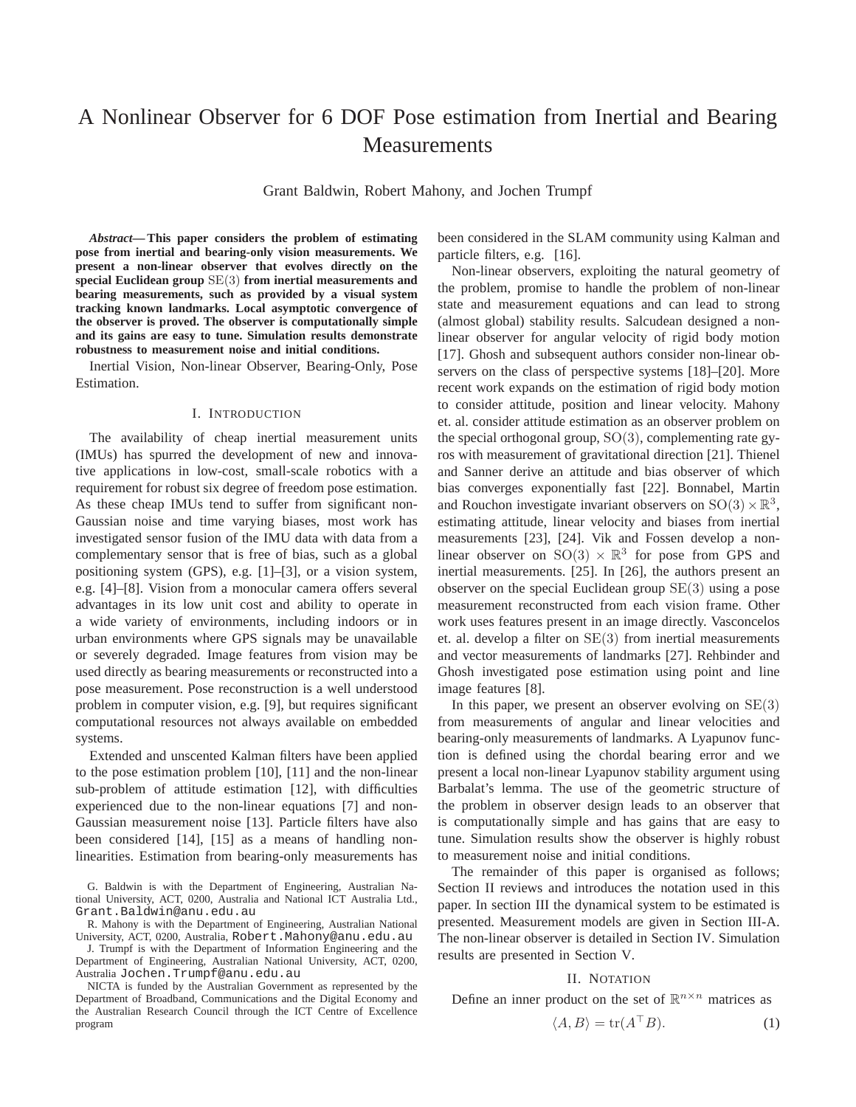# A Nonlinear Observer for 6 DOF Pose estimation from Inertial and Bearing **Measurements**

Grant Baldwin, Robert Mahony, and Jochen Trumpf

*Abstract***— This paper considers the problem of estimating pose from inertial and bearing-only vision measurements. We present a non-linear observer that evolves directly on the special Euclidean group** SE(3) **from inertial measurements and bearing measurements, such as provided by a visual system tracking known landmarks. Local asymptotic convergence of the observer is proved. The observer is computationally simple and its gains are easy to tune. Simulation results demonstrate robustness to measurement noise and initial conditions.**

Inertial Vision, Non-linear Observer, Bearing-Only, Pose Estimation.

## I. INTRODUCTION

The availability of cheap inertial measurement units (IMUs) has spurred the development of new and innovative applications in low-cost, small-scale robotics with a requirement for robust six degree of freedom pose estimation. As these cheap IMUs tend to suffer from significant non-Gaussian noise and time varying biases, most work has investigated sensor fusion of the IMU data with data from a complementary sensor that is free of bias, such as a global positioning system (GPS), e.g. [1]–[3], or a vision system, e.g. [4]–[8]. Vision from a monocular camera offers several advantages in its low unit cost and ability to operate in a wide variety of environments, including indoors or in urban environments where GPS signals may be unavailable or severely degraded. Image features from vision may be used directly as bearing measurements or reconstructed into a pose measurement. Pose reconstruction is a well understood problem in computer vision, e.g. [9], but requires significant computational resources not always available on embedded systems.

Extended and unscented Kalman filters have been applied to the pose estimation problem [10], [11] and the non-linear sub-problem of attitude estimation [12], with difficulties experienced due to the non-linear equations [7] and non-Gaussian measurement noise [13]. Particle filters have also been considered [14], [15] as a means of handling nonlinearities. Estimation from bearing-only measurements has

J. Trumpf is with the Department of Information Engineering and the Department of Engineering, Australian National University, ACT, 0200, Australia Jochen.Trumpf@anu.edu.au

NICTA is funded by the Australian Government as represented by the Department of Broadband, Communications and the Digital Economy and the Australian Research Council through the ICT Centre of Excellence program

been considered in the SLAM community using Kalman and particle filters, e.g. [16].

Non-linear observers, exploiting the natural geometry of the problem, promise to handle the problem of non-linear state and measurement equations and can lead to strong (almost global) stability results. Salcudean designed a nonlinear observer for angular velocity of rigid body motion [17]. Ghosh and subsequent authors consider non-linear observers on the class of perspective systems [18]–[20]. More recent work expands on the estimation of rigid body motion to consider attitude, position and linear velocity. Mahony et. al. consider attitude estimation as an observer problem on the special orthogonal group, SO(3), complementing rate gyros with measurement of gravitational direction [21]. Thienel and Sanner derive an attitude and bias observer of which bias converges exponentially fast [22]. Bonnabel, Martin and Rouchon investigate invariant observers on  $SO(3) \times \mathbb{R}^3$ , estimating attitude, linear velocity and biases from inertial measurements [23], [24]. Vik and Fossen develop a nonlinear observer on  $SO(3) \times \mathbb{R}^3$  for pose from GPS and inertial measurements. [25]. In [26], the authors present an observer on the special Euclidean group SE(3) using a pose measurement reconstructed from each vision frame. Other work uses features present in an image directly. Vasconcelos et. al. develop a filter on SE(3) from inertial measurements and vector measurements of landmarks [27]. Rehbinder and Ghosh investigated pose estimation using point and line image features [8].

In this paper, we present an observer evolving on  $SE(3)$ from measurements of angular and linear velocities and bearing-only measurements of landmarks. A Lyapunov function is defined using the chordal bearing error and we present a local non-linear Lyapunov stability argument using Barbalat's lemma. The use of the geometric structure of the problem in observer design leads to an observer that is computationally simple and has gains that are easy to tune. Simulation results show the observer is highly robust to measurement noise and initial conditions.

The remainder of this paper is organised as follows; Section II reviews and introduces the notation used in this paper. In section III the dynamical system to be estimated is presented. Measurement models are given in Section III-A. The non-linear observer is detailed in Section IV. Simulation results are presented in Section V.

## II. NOTATION

Define an inner product on the set of  $\mathbb{R}^{n \times n}$  matrices as

$$
\langle A, B \rangle = \text{tr}(A^\top B). \tag{1}
$$

G. Baldwin is with the Department of Engineering, Australian National University, ACT, 0200, Australia and National ICT Australia Ltd., Grant.Baldwin@anu.edu.au

R. Mahony is with the Department of Engineering, Australian National University, ACT, 0200, Australia, Robert.Mahony@anu.edu.au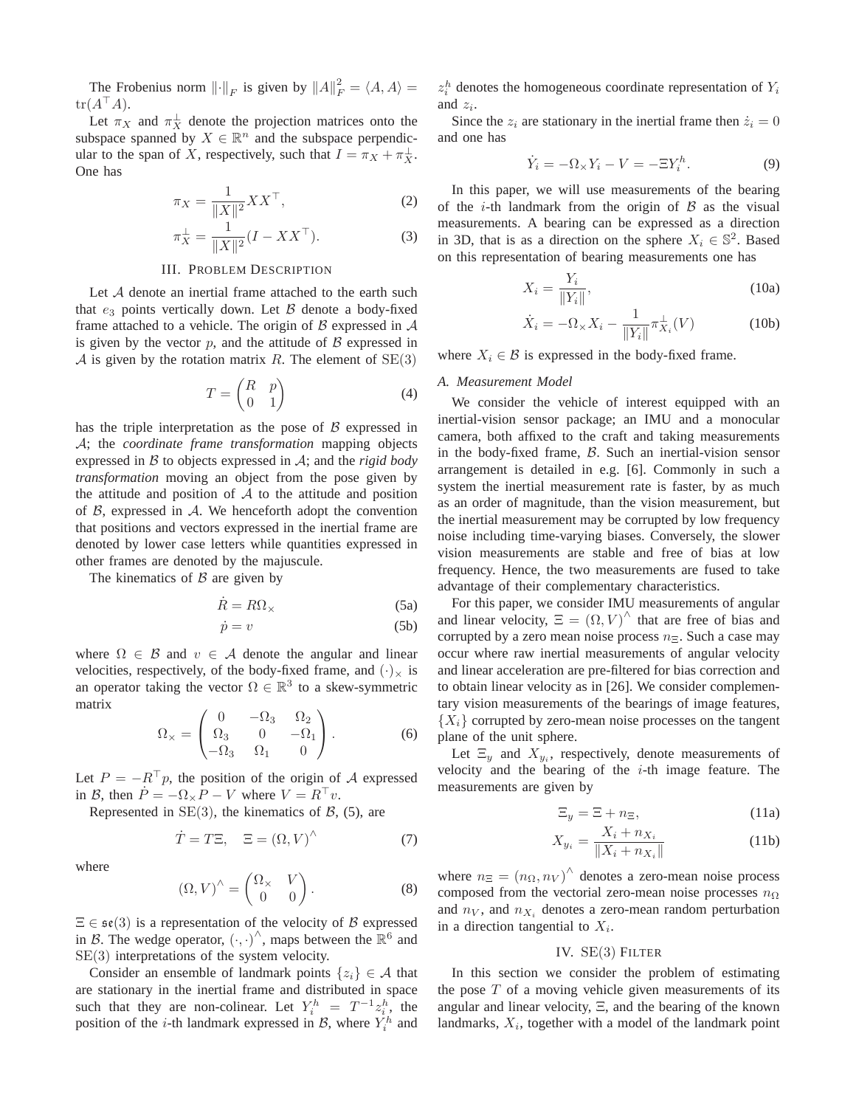The Frobenius norm  $\left\| \cdot \right\|_F$  is given by  $\left\| A \right\|_F^2 = \langle A, A \rangle =$  $tr(A^{\top}A).$ 

Let  $\pi_X$  and  $\pi_X^{\perp}$  denote the projection matrices onto the subspace spanned by  $X \in \mathbb{R}^n$  and the subspace perpendicular to the span of X, respectively, such that  $I = \pi_X + \pi_X^{\perp}$ . One has

$$
\pi_X = \frac{1}{\|X\|^2} XX^\top,
$$
 (2)

$$
\pi_X^{\perp} = \frac{1}{\|X\|^2} (I - XX^{\top}).
$$
\n(3)

## III. PROBLEM DESCRIPTION

Let A denote an inertial frame attached to the earth such that  $e_3$  points vertically down. Let  $\beta$  denote a body-fixed frame attached to a vehicle. The origin of  $\beta$  expressed in  $\mathcal A$ is given by the vector  $p$ , and the attitude of  $\beta$  expressed in A is given by the rotation matrix R. The element of  $SE(3)$ 

$$
T = \begin{pmatrix} R & p \\ 0 & 1 \end{pmatrix} \tag{4}
$$

has the triple interpretation as the pose of  $\beta$  expressed in A; the *coordinate frame transformation* mapping objects expressed in B to objects expressed in A; and the *rigid body transformation* moving an object from the pose given by the attitude and position of  $A$  to the attitude and position of  $\beta$ , expressed in  $\mathcal{A}$ . We henceforth adopt the convention that positions and vectors expressed in the inertial frame are denoted by lower case letters while quantities expressed in other frames are denoted by the majuscule.

The kinematics of  $\beta$  are given by

$$
\dot{R} = R\Omega_{\times} \tag{5a}
$$

$$
\dot{p} = v \tag{5b}
$$

where  $\Omega \in \mathcal{B}$  and  $v \in \mathcal{A}$  denote the angular and linear velocities, respectively, of the body-fixed frame, and  $(\cdot)_\times$  is an operator taking the vector  $\Omega \in \mathbb{R}^3$  to a skew-symmetric matrix

$$
\Omega_{\times} = \begin{pmatrix} 0 & -\Omega_3 & \Omega_2 \\ \Omega_3 & 0 & -\Omega_1 \\ -\Omega_3 & \Omega_1 & 0 \end{pmatrix} . \tag{6}
$$

Let  $P = -R^{\top}p$ , the position of the origin of A expressed in B, then  $\dot{P} = -\Omega_{\times}P - V$  where  $V = R^{\top}v$ .

Represented in  $SE(3)$ , the kinematics of  $\beta$ , (5), are

$$
\dot{T} = T\Xi, \quad \Xi = (\Omega, V)^{\wedge} \tag{7}
$$

where

$$
(\Omega, V)^{\wedge} = \begin{pmatrix} \Omega_{\times} & V \\ 0 & 0 \end{pmatrix}.
$$
 (8)

 $\Xi \in \mathfrak{se}(3)$  is a representation of the velocity of B expressed in B. The wedge operator,  $(\cdot, \cdot)^{\wedge}$ , maps between the  $\mathbb{R}^6$  and SE(3) interpretations of the system velocity.

Consider an ensemble of landmark points  $\{z_i\} \in \mathcal{A}$  that are stationary in the inertial frame and distributed in space such that they are non-colinear. Let  $Y_i^h = T^{-1} z_i^h$ , the position of the *i*-th landmark expressed in  $\mathcal{B}$ , where  $Y_i^h$  and

 $z_i^h$  denotes the homogeneous coordinate representation of  $Y_i$ and  $z_i$ .

Since the  $z_i$  are stationary in the inertial frame then  $\dot{z}_i = 0$ and one has

$$
\dot{Y}_i = -\Omega_\times Y_i - V = -\Xi Y_i^h. \tag{9}
$$

In this paper, we will use measurements of the bearing of the *i*-th landmark from the origin of  $\beta$  as the visual measurements. A bearing can be expressed as a direction in 3D, that is as a direction on the sphere  $X_i \in \mathbb{S}^2$ . Based on this representation of bearing measurements one has

$$
X_i = \frac{Y_i}{\|Y_i\|},\tag{10a}
$$

$$
\dot{X}_i = -\Omega_\times X_i - \frac{1}{\|Y_i\|} \pi_{X_i}^\perp(V) \tag{10b}
$$

where  $X_i \in \mathcal{B}$  is expressed in the body-fixed frame.

#### *A. Measurement Model*

We consider the vehicle of interest equipped with an inertial-vision sensor package; an IMU and a monocular camera, both affixed to the craft and taking measurements in the body-fixed frame, B. Such an inertial-vision sensor arrangement is detailed in e.g. [6]. Commonly in such a system the inertial measurement rate is faster, by as much as an order of magnitude, than the vision measurement, but the inertial measurement may be corrupted by low frequency noise including time-varying biases. Conversely, the slower vision measurements are stable and free of bias at low frequency. Hence, the two measurements are fused to take advantage of their complementary characteristics.

For this paper, we consider IMU measurements of angular and linear velocity,  $\Xi = (\Omega, V)^{\wedge}$  that are free of bias and corrupted by a zero mean noise process  $n_{\Xi}$ . Such a case may occur where raw inertial measurements of angular velocity and linear acceleration are pre-filtered for bias correction and to obtain linear velocity as in [26]. We consider complementary vision measurements of the bearings of image features,  ${X_i}$  corrupted by zero-mean noise processes on the tangent plane of the unit sphere.

Let  $\Xi_y$  and  $X_{y_i}$ , respectively, denote measurements of velocity and the bearing of the  $i$ -th image feature. The measurements are given by

$$
\Xi_y = \Xi + n_\Xi,\tag{11a}
$$

$$
X_{y_i} = \frac{X_i + n_{X_i}}{\|X_i + n_{X_i}\|} \tag{11b}
$$

where  $n_{\Xi} = (n_{\Omega}, n_V)^{\hat{\ }}$  denotes a zero-mean noise process composed from the vectorial zero-mean noise processes  $n_{\Omega}$ and  $n_V$ , and  $n_{X_i}$  denotes a zero-mean random perturbation in a direction tangential to  $X_i$ .

### IV. SE(3) FILTER

In this section we consider the problem of estimating the pose  $T$  of a moving vehicle given measurements of its angular and linear velocity, Ξ, and the bearing of the known landmarks,  $X_i$ , together with a model of the landmark point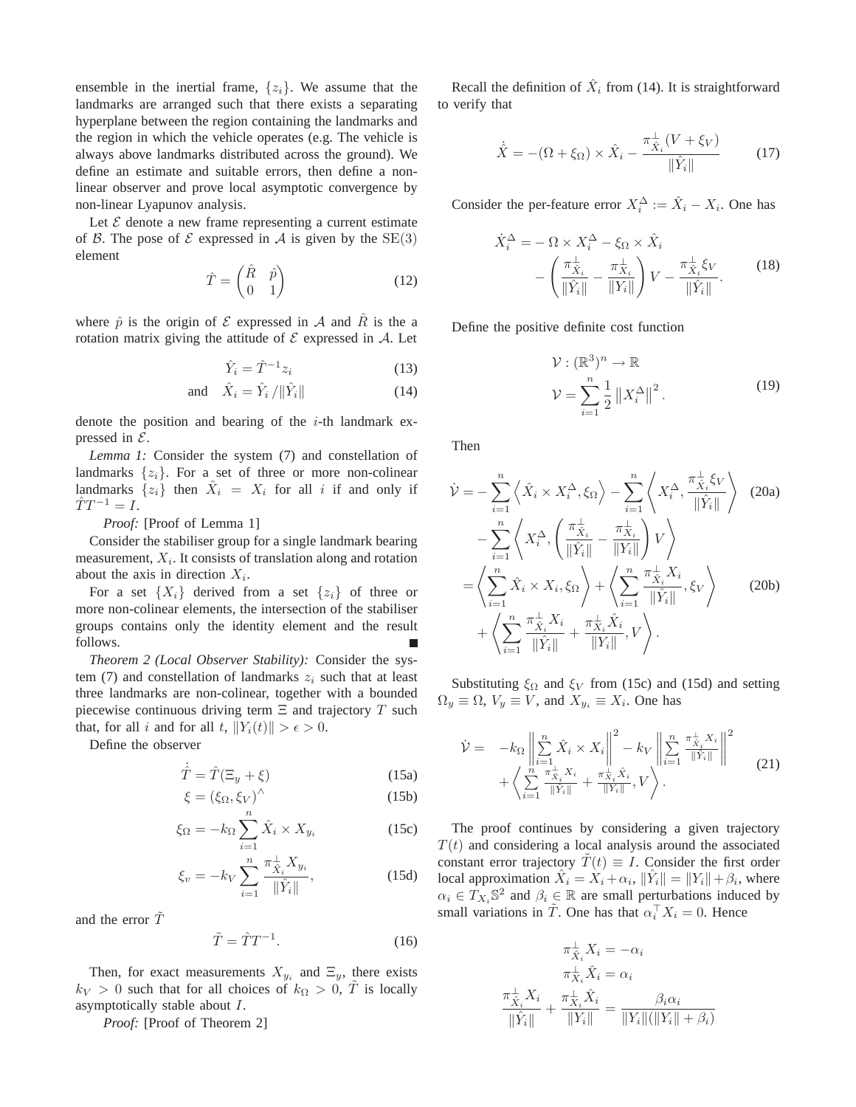ensemble in the inertial frame,  $\{z_i\}$ . We assume that the landmarks are arranged such that there exists a separating hyperplane between the region containing the landmarks and the region in which the vehicle operates (e.g. The vehicle is always above landmarks distributed across the ground). We define an estimate and suitable errors, then define a nonlinear observer and prove local asymptotic convergence by non-linear Lyapunov analysis.

Let  $\mathcal E$  denote a new frame representing a current estimate of B. The pose of  $\mathcal E$  expressed in A is given by the SE(3) element

$$
\hat{T} = \begin{pmatrix} \hat{R} & \hat{p} \\ 0 & 1 \end{pmatrix} \tag{12}
$$

where  $\hat{p}$  is the origin of  $\mathcal E$  expressed in  $\mathcal A$  and  $\hat R$  is the a rotation matrix giving the attitude of  $\mathcal E$  expressed in  $\mathcal A$ . Let

$$
\hat{Y}_i = \hat{T}^{-1} z_i \tag{13}
$$

$$
\text{and} \quad \hat{X}_i = \hat{Y}_i / \|\hat{Y}_i\| \tag{14}
$$

denote the position and bearing of the  $i$ -th landmark expressed in  $\mathcal{E}$ .

*Lemma 1:* Consider the system (7) and constellation of landmarks  $\{z_i\}$ . For a set of three or more non-colinear landmarks  $\{z_i\}$  then  $\hat{X}_i = X_i$  for all i if and only if  $\hat{T}T^{-1} = I.$ 

*Proof:* [Proof of Lemma 1]

Consider the stabiliser group for a single landmark bearing measurement,  $X_i$ . It consists of translation along and rotation about the axis in direction  $X_i$ .

For a set  $\{X_i\}$  derived from a set  $\{z_i\}$  of three or more non-colinear elements, the intersection of the stabiliser groups contains only the identity element and the result follows.

*Theorem 2 (Local Observer Stability):* Consider the system (7) and constellation of landmarks  $z_i$  such that at least three landmarks are non-colinear, together with a bounded piecewise continuous driving term  $\Xi$  and trajectory T such that, for all i and for all t,  $||Y_i(t)|| > \epsilon > 0$ .

Define the observer

$$
\dot{\hat{T}} = \hat{T}(\Xi_y + \xi) \tag{15a}
$$
\n
$$
\dot{\xi} = (\xi - \xi)^{\hat{\Lambda}} \tag{15b}
$$

$$
\xi = (\xi_{\Omega}, \xi_V)^{\wedge} \tag{15b}
$$

$$
\xi_{\Omega} = -k_{\Omega} \sum_{i=1}^{n} \hat{X}_i \times X_{y_i}
$$
 (15c)

$$
\xi_v = -k_V \sum_{i=1}^n \frac{\pi_{\hat{X}_i}^{\perp} X_{y_i}}{\|\hat{Y}_i\|},
$$
\n(15d)

and the error  $\tilde{T}$ 

$$
\tilde{T} = \hat{T}T^{-1}.
$$
\n(16)

Then, for exact measurements  $X_{y_i}$  and  $\Xi_y$ , there exists  $k_V > 0$  such that for all choices of  $k_\Omega > 0$ , T is locally asymptotically stable about I.

*Proof:* [Proof of Theorem 2]

Recall the definition of  $\hat{X}_i$  from (14). It is straightforward to verify that

$$
\dot{\hat{X}} = -(\Omega + \xi_{\Omega}) \times \hat{X}_i - \frac{\pi_{\hat{X}_i}^{\perp}(V + \xi_V)}{\|\hat{Y}_i\|} \tag{17}
$$

Consider the per-feature error  $X_i^{\Delta} := \hat{X}_i - X_i$ . One has

$$
\dot{X}_i^{\Delta} = -\Omega \times X_i^{\Delta} - \xi_{\Omega} \times \hat{X}_i
$$

$$
- \left( \frac{\pi_{\hat{X}_i}^{\perp}}{\|\hat{Y}_i\|} - \frac{\pi_{X_i}^{\perp}}{\|Y_i\|} \right) V - \frac{\pi_{\hat{X}_i}^{\perp} \xi_V}{\|\hat{Y}_i\|}. \tag{18}
$$

Define the positive definite cost function

$$
\mathcal{V}: (\mathbb{R}^3)^n \to \mathbb{R}
$$
  

$$
\mathcal{V} = \sum_{i=1}^n \frac{1}{2} \|X_i^{\Delta}\|^2.
$$
 (19)

Then

$$
\dot{\mathcal{V}} = -\sum_{i=1}^{n} \left\langle \hat{X}_i \times X_i^{\Delta}, \xi_{\Omega} \right\rangle - \sum_{i=1}^{n} \left\langle X_i^{\Delta}, \frac{\pi_{\hat{X}_i}^{\perp} \xi_V}{\|\hat{Y}_i\|} \right\rangle
$$
 (20a)  
\n
$$
-\sum_{i=1}^{n} \left\langle X_i^{\Delta}, \left( \frac{\pi_{\hat{X}_i}^{\perp}}{\|\hat{Y}_i\|} - \frac{\pi_{X_i}^{\perp}}{\|Y_i\|} \right) V \right\rangle
$$
\n
$$
= \left\langle \sum_{i=1}^{n} \hat{X}_i \times X_i, \xi_{\Omega} \right\rangle + \left\langle \sum_{i=1}^{n} \frac{\pi_{\hat{X}_i}^{\perp} X_i}{\|\hat{Y}_i\|}, \xi_{V} \right\rangle
$$
 (20b)  
\n
$$
+ \left\langle \sum_{i=1}^{n} \frac{\pi_{\hat{X}_i}^{\perp} X_i}{\|\hat{Y}_i\|} + \frac{\pi_{X_i}^{\perp} \hat{X}_i}{\|Y_i\|}, V \right\rangle.
$$

Substituting  $\xi_{\Omega}$  and  $\xi_{V}$  from (15c) and (15d) and setting  $\Omega_y \equiv \Omega$ ,  $V_y \equiv V$ , and  $X_{y_i} \equiv X_i$ . One has

$$
\dot{\mathcal{V}} = -k_{\Omega} \left\| \sum_{i=1}^{n} \hat{X}_{i} \times X_{i} \right\|^{2} - k_{V} \left\| \sum_{i=1}^{n} \frac{\pi_{\hat{X}_{i}}^{+} X_{i}}{\|\hat{Y}_{i}\|} \right\|^{2} + \left\langle \sum_{i=1}^{n} \frac{\pi_{\hat{X}_{i}}^{+} X_{i}}{\|\hat{Y}_{i}\|} + \frac{\pi_{X_{i}}^{+} \hat{X}_{i}}{\|\hat{Y}_{i}\|}, V \right\rangle.
$$
\n(21)

The proof continues by considering a given trajectory  $T(t)$  and considering a local analysis around the associated constant error trajectory  $\tilde{T}(t) \equiv I$ . Consider the first order local approximation  $\hat{X}_i = X_i + \alpha_i$ ,  $\|\hat{Y}_i\| = \|Y_i\| + \beta_i$ , where  $\alpha_i \in T_{X_i} \mathbb{S}^2$  and  $\beta_i \in \mathbb{R}$  are small perturbations induced by small variations in  $\tilde{T}$ . One has that  $\alpha_i^{\top} X_i = 0$ . Hence

$$
\pi_{\hat{X}_i}^{\perp} X_i = -\alpha_i
$$

$$
\pi_{X_i}^{\perp} \hat{X}_i = \alpha_i
$$

$$
\pi_{X_i}^{\perp} X_i = \alpha_i
$$

$$
\frac{\pi_{\hat{X}_i}^{\perp} X_i}{\|\hat{Y}_i\|} + \frac{\pi_{X_i}^{\perp} \hat{X}_i}{\|Y_i\|} = \frac{\beta_i \alpha_i}{\|Y_i\| (\|Y_i\| + \beta_i)}
$$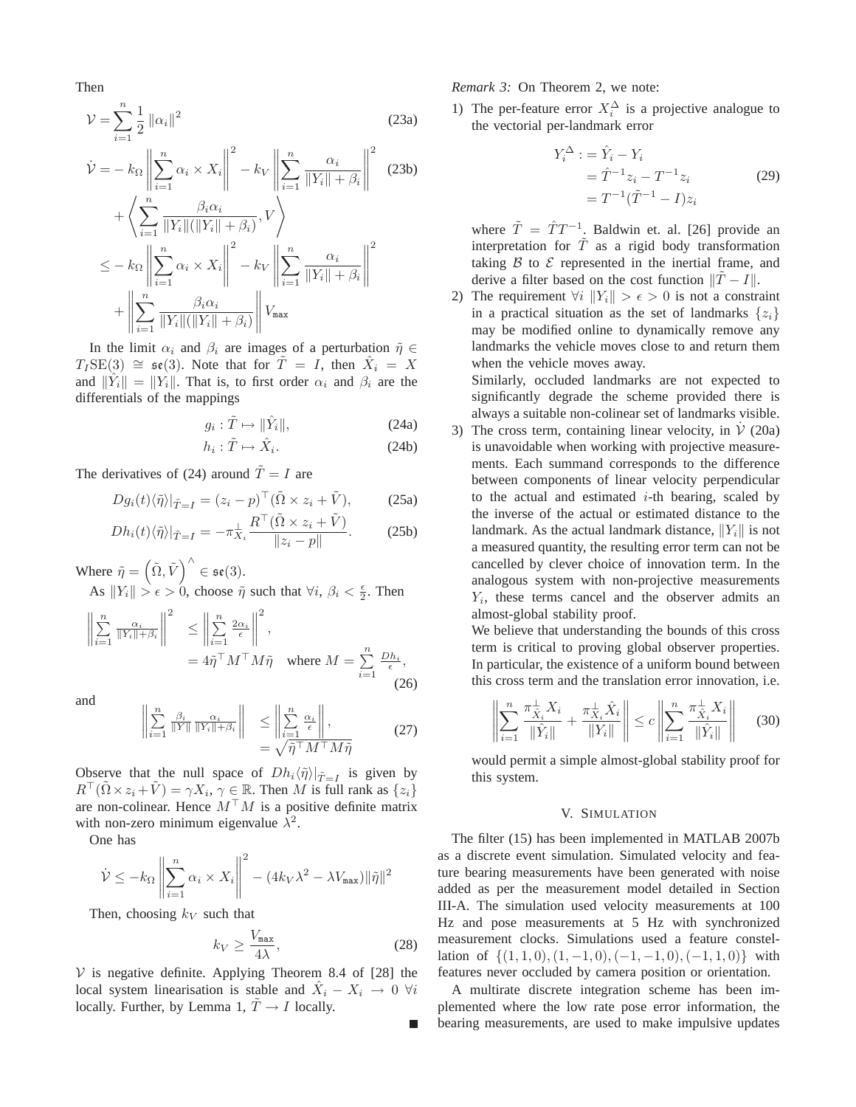Then

$$
\mathcal{V} = \sum_{i=1}^{n} \frac{1}{2} ||\alpha_i||^2
$$
 (23a)

$$
\dot{\mathcal{V}} = -k_{\Omega} \left\| \sum_{i=1}^{n} \alpha_{i} \times X_{i} \right\|^{2} - k_{V} \left\| \sum_{i=1}^{n} \frac{\alpha_{i}}{\|Y_{i}\| + \beta_{i}} \right\|^{2} \quad (23b)
$$
\n
$$
+ \left\langle \sum_{i=1}^{n} \frac{\beta_{i} \alpha_{i}}{\|Y_{i}\| (\|Y_{i}\| + \beta_{i})}, V \right\rangle
$$
\n
$$
\leq -k_{\Omega} \left\| \sum_{i=1}^{n} \alpha_{i} \times X_{i} \right\|^{2} - k_{V} \left\| \sum_{i=1}^{n} \frac{\alpha_{i}}{\|Y_{i}\| + \beta_{i}} \right\|^{2}
$$
\n
$$
+ \left\| \sum_{i=1}^{n} \frac{\beta_{i} \alpha_{i}}{\|Y_{i}\| (\|Y_{i}\| + \beta_{i})} \right\| V_{\text{max}}
$$

In the limit  $\alpha_i$  and  $\beta_i$  are images of a perturbation  $\tilde{\eta} \in$  $T_I$ SE(3)  $\cong$   $\mathfrak{se}(3)$ . Note that for  $\tilde{T} = I$ , then  $\hat{X}_i = X$ and  $\|\hat{Y}_i\| = \|Y_i\|$ . That is, to first order  $\alpha_i$  and  $\beta_i$  are the differentials of the mappings

$$
g_i: \tilde{T} \mapsto \|\hat{Y}_i\|,\tag{24a}
$$

$$
h_i: \tilde{T} \mapsto \hat{X}_i. \tag{24b}
$$

The derivatives of (24) around  $\tilde{T} = I$  are

$$
Dg_i(t)\langle \tilde{\eta} \rangle|_{\tilde{T}=I} = (z_i - p)^\top (\tilde{\Omega} \times z_i + \tilde{V}), \quad (25a)
$$

$$
Dh_i(t)\langle \tilde{\eta} \rangle|_{\tilde{T}=I} = -\pi_{X_i}^{\perp} \frac{R^{\top}(\tilde{\Omega} \times z_i + \tilde{V})}{\|z_i - p\|}.
$$
 (25b)

Where  $\tilde{\eta} = (\tilde{\Omega}, \tilde{V})^{\wedge} \in \mathfrak{se}(3)$ .

As  $||Y_i|| > \epsilon > 0$ , choose  $\tilde{\eta}$  such that  $\forall i, \beta_i < \frac{\epsilon}{2}$ . Then

$$
\left\| \sum_{i=1}^{n} \frac{\alpha_i}{\|Y_i\| + \beta_i} \right\|^2 \le \left\| \sum_{i=1}^{n} \frac{2\alpha_i}{\epsilon} \right\|^2,
$$
  
=  $4\tilde{\eta}^\top M^\top M \tilde{\eta}$  where  $M = \sum_{i=1}^{n} \frac{Dh_i}{\epsilon},$  (26)

and

$$
\left\| \sum_{i=1}^{n} \frac{\beta_i}{\|Y\|} \frac{\alpha_i}{\|Y_i\| + \beta_i} \right\| \le \left\| \sum_{i=1}^{n} \frac{\alpha_i}{\epsilon} \right\|,
$$
  
=  $\sqrt{\tilde{\eta}^{\top} M^{\top} M \tilde{\eta}}$  (27)

Observe that the null space of  $Dh_i\langle\tilde{\eta}\rangle|_{\tilde{T}=I}$  is given by  $R^{\top}(\tilde{\Omega} \times z_i + \tilde{V}) = \gamma X_i, \, \gamma \in \mathbb{R}$ . Then M is full rank as  $\{z_i\}$ are non-colinear. Hence  $M^{\top}M$  is a positive definite matrix with non-zero minimum eigenvalue  $\lambda^2$ .

One has

$$
\dot{\mathcal{V}} \leq -k_{\Omega} \left\| \sum_{i=1}^{n} \alpha_{i} \times X_{i} \right\|^{2} - (4k_{V} \lambda^{2} - \lambda V_{\max}) \|\tilde{\eta}\|^{2}
$$

Then, choosing  $k_V$  such that

$$
k_V \ge \frac{V_{\text{max}}}{4\lambda},\tag{28}
$$

 $V$  is negative definite. Applying Theorem 8.4 of [28] the local system linearisation is stable and  $\hat{X}_i - X_i \rightarrow 0 \ \forall i$ locally. Further, by Lemma 1,  $\tilde{T} \rightarrow I$  locally.

*Remark 3:* On Theorem 2, we note:

1) The per-feature error  $X_i^{\Delta}$  is a projective analogue to the vectorial per-landmark error

$$
Y_i^{\Delta} := \hat{Y}_i - Y_i
$$
  
=  $\hat{T}^{-1} z_i - T^{-1} z_i$  (29)  
=  $T^{-1} (\tilde{T}^{-1} - I) z_i$ 

where  $\tilde{T} = \hat{T}T^{-1}$ . Baldwin et. al. [26] provide an interpretation for  $\tilde{T}$  as a rigid body transformation taking  $\beta$  to  $\epsilon$  represented in the inertial frame, and derive a filter based on the cost function  $\|\tilde{T} - I\|$ .

2) The requirement  $\forall i \|Y_i\| > \epsilon > 0$  is not a constraint in a practical situation as the set of landmarks  $\{z_i\}$ may be modified online to dynamically remove any landmarks the vehicle moves close to and return them when the vehicle moves away.

Similarly, occluded landmarks are not expected to significantly degrade the scheme provided there is always a suitable non-colinear set of landmarks visible.

3) The cross term, containing linear velocity, in  $\dot{V}$  (20a) is unavoidable when working with projective measurements. Each summand corresponds to the difference between components of linear velocity perpendicular to the actual and estimated  $i$ -th bearing, scaled by the inverse of the actual or estimated distance to the landmark. As the actual landmark distance,  $||Y_i||$  is not a measured quantity, the resulting error term can not be cancelled by clever choice of innovation term. In the analogous system with non-projective measurements  $Y_i$ , these terms cancel and the observer admits an almost-global stability proof.

We believe that understanding the bounds of this cross term is critical to proving global observer properties. In particular, the existence of a uniform bound between this cross term and the translation error innovation, i.e.

$$
\left\| \sum_{i=1}^{n} \frac{\pi_{\hat{X}_i}^{\perp} X_i}{\|\hat{Y}_i\|} + \frac{\pi_{X_i}^{\perp} \hat{X}_i}{\|Y_i\|} \right\| \le c \left\| \sum_{i=1}^{n} \frac{\pi_{\hat{X}_i}^{\perp} X_i}{\|\hat{Y}_i\|} \right\| \tag{30}
$$

would permit a simple almost-global stability proof for this system.

## V. SIMULATION

The filter (15) has been implemented in MATLAB 2007b as a discrete event simulation. Simulated velocity and feature bearing measurements have been generated with noise added as per the measurement model detailed in Section III-A. The simulation used velocity measurements at 100 Hz and pose measurements at 5 Hz with synchronized measurement clocks. Simulations used a feature constellation of  $\{(1, 1, 0), (1, -1, 0), (-1, -1, 0), (-1, 1, 0)\}\$  with features never occluded by camera position or orientation.

A multirate discrete integration scheme has been implemented where the low rate pose error information, the bearing measurements, are used to make impulsive updates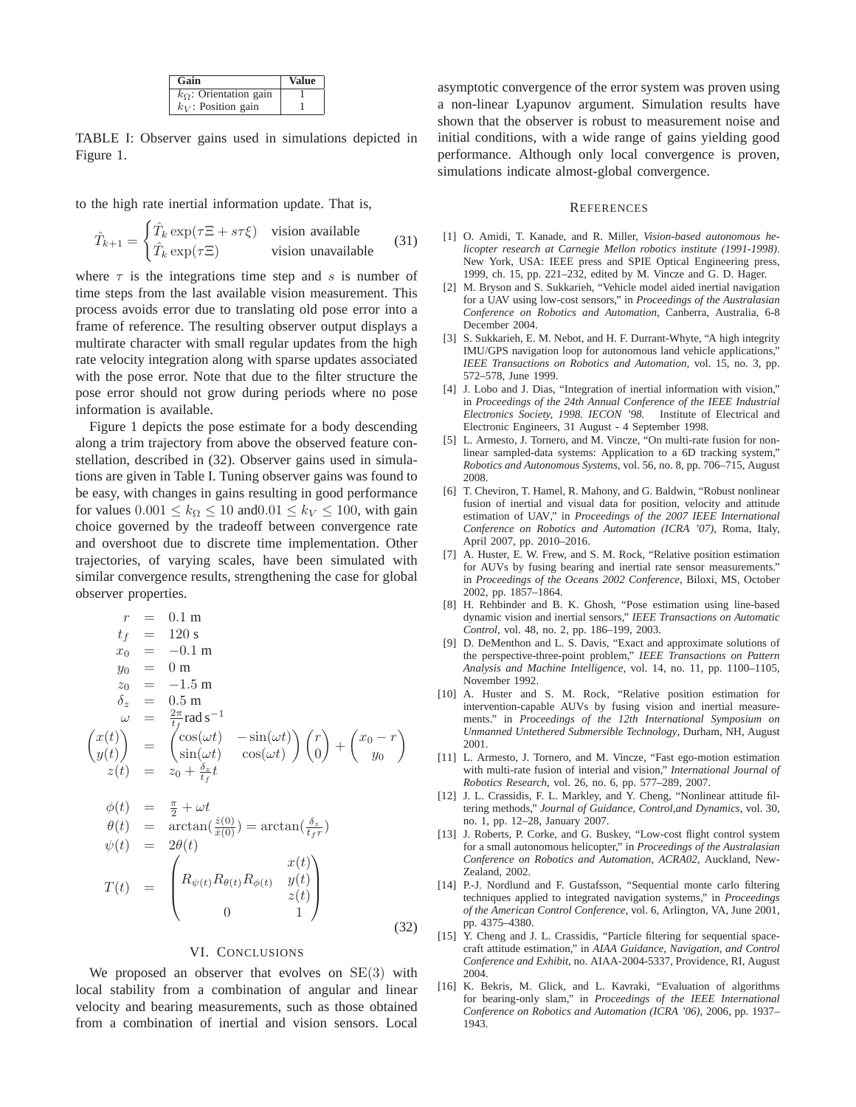| Gain                            | <b>Value</b> |
|---------------------------------|--------------|
| $k_{\Omega}$ : Orientation gain |              |
| $k_V$ : Position gain           |              |

TABLE I: Observer gains used in simulations depicted in Figure 1.

to the high rate inertial information update. That is,

$$
\hat{T}_{k+1} = \begin{cases} \hat{T}_k \exp(\tau \Xi + s\tau \xi) & \text{vision available} \\ \hat{T}_k \exp(\tau \Xi) & \text{vision unavailable} \end{cases}
$$
(31)

where  $\tau$  is the integrations time step and s is number of time steps from the last available vision measurement. This process avoids error due to translating old pose error into a frame of reference. The resulting observer output displays a multirate character with small regular updates from the high rate velocity integration along with sparse updates associated with the pose error. Note that due to the filter structure the pose error should not grow during periods where no pose information is available.

Figure 1 depicts the pose estimate for a body descending along a trim trajectory from above the observed feature constellation, described in (32). Observer gains used in simulations are given in Table I. Tuning observer gains was found to be easy, with changes in gains resulting in good performance for values  $0.001 \leq k_{\Omega} \leq 10$  and  $0.01 \leq k_{V} \leq 100$ , with gain choice governed by the tradeoff between convergence rate and overshoot due to discrete time implementation. Other trajectories, of varying scales, have been simulated with similar convergence results, strengthening the case for global observer properties.

$$
r = 0.1 \text{ m}
$$
  
\n
$$
t_f = 120 \text{ s}
$$
  
\n
$$
x_0 = -0.1 \text{ m}
$$
  
\n
$$
y_0 = 0 \text{ m}
$$
  
\n
$$
z_0 = -1.5 \text{ m}
$$
  
\n
$$
\delta_z = 0.5 \text{ m}
$$
  
\n
$$
\omega = \frac{2\pi}{t_f} \text{ rad s}^{-1}
$$
  
\n
$$
\begin{pmatrix} x(t) \\ y(t) \end{pmatrix} = \begin{pmatrix} \cos(\omega t) & -\sin(\omega t) \\ \sin(\omega t) & \cos(\omega t) \end{pmatrix} \begin{pmatrix} r \\ 0 \end{pmatrix} + \begin{pmatrix} x_0 - r \\ y_0 \end{pmatrix}
$$
  
\n
$$
z(t) = z_0 + \frac{\delta_z}{t_f}t
$$

$$
\begin{array}{rcl}\n\phi(t) & = & \frac{\pi}{2} + \omega t \\
\theta(t) & = & \arctan(\frac{\dot{z}(0)}{\dot{x}(0)}) = \arctan(\frac{\delta_z}{t_f r}) \\
\psi(t) & = & 2\theta(t) \\
T(t) & = & \begin{pmatrix} x(t) \\
R_{\psi(t)}R_{\theta(t)}R_{\phi(t)} & y(t) \\
0 & 1 \end{pmatrix}\n\end{array}
$$
\n(32)

## VI. CONCLUSIONS

We proposed an observer that evolves on  $SE(3)$  with local stability from a combination of angular and linear velocity and bearing measurements, such as those obtained from a combination of inertial and vision sensors. Local asymptotic convergence of the error system was proven using a non-linear Lyapunov argument. Simulation results have shown that the observer is robust to measurement noise and initial conditions, with a wide range of gains yielding good performance. Although only local convergence is proven, simulations indicate almost-global convergence.

#### **REFERENCES**

- [1] O. Amidi, T. Kanade, and R. Miller, *Vision-based autonomous helicopter research at Carnegie Mellon robotics institute (1991-1998)*. New York, USA: IEEE press and SPIE Optical Engineering press, 1999, ch. 15, pp. 221–232, edited by M. Vincze and G. D. Hager.
- [2] M. Bryson and S. Sukkarieh, "Vehicle model aided inertial navigation for a UAV using low-cost sensors," in *Proceedings of the Australasian Conference on Robotics and Automation*, Canberra, Australia, 6-8 December 2004.
- [3] S. Sukkarieh, E. M. Nebot, and H. F. Durrant-Whyte, "A high integrity IMU/GPS navigation loop for autonomous land vehicle applications," *IEEE Transactions on Robotics and Automation*, vol. 15, no. 3, pp. 572–578, June 1999.
- [4] J. Lobo and J. Dias, "Integration of inertial information with vision," in *Proceedings of the 24th Annual Conference of the IEEE Industrial Electronics Society, 1998. IECON '98.* Institute of Electrical and Electronic Engineers, 31 August - 4 September 1998.
- [5] L. Armesto, J. Tornero, and M. Vincze, "On multi-rate fusion for nonlinear sampled-data systems: Application to a 6D tracking system," *Robotics and Autonomous Systems*, vol. 56, no. 8, pp. 706–715, August 2008.
- [6] T. Cheviron, T. Hamel, R. Mahony, and G. Baldwin, "Robust nonlinear fusion of inertial and visual data for position, velocity and attitude estimation of UAV," in *Proceedings of the 2007 IEEE International Conference on Robotics and Automation (ICRA '07)*, Roma, Italy, April 2007, pp. 2010–2016.
- [7] A. Huster, E. W. Frew, and S. M. Rock, "Relative position estimation for AUVs by fusing bearing and inertial rate sensor measurements." in *Proceedings of the Oceans 2002 Conference*, Biloxi, MS, October 2002, pp. 1857–1864.
- [8] H. Rehbinder and B. K. Ghosh, "Pose estimation using line-based dynamic vision and inertial sensors," *IEEE Transactions on Automatic Control*, vol. 48, no. 2, pp. 186–199, 2003.
- [9] D. DeMenthon and L. S. Davis, "Exact and approximate solutions of the perspective-three-point problem," *IEEE Transactions on Pattern Analysis and Machine Intelligence*, vol. 14, no. 11, pp. 1100–1105, November 1992.
- [10] A. Huster and S. M. Rock, "Relative position estimation for intervention-capable AUVs by fusing vision and inertial measurements." in *Proceedings of the 12th International Symposium on Unmanned Untethered Submersible Technology*, Durham, NH, August 2001.
- [11] L. Armesto, J. Tornero, and M. Vincze, "Fast ego-motion estimation with multi-rate fusion of interial and vision," *International Journal of Robotics Research*, vol. 26, no. 6, pp. 577–289, 2007.
- [12] J. L. Crassidis, F. L. Markley, and Y. Cheng, "Nonlinear attitude filtering methods," *Journal of Guidance, Control,and Dynamics*, vol. 30, no. 1, pp. 12–28, January 2007.
- [13] J. Roberts, P. Corke, and G. Buskey, "Low-cost flight control system for a small autonomous helicopter," in *Proceedings of the Australasian Conference on Robotics and Automation, ACRA02*, Auckland, New-Zealand, 2002.
- [14] P.-J. Nordlund and F. Gustafsson, "Sequential monte carlo filtering techniques applied to integrated navigation systems," in *Proceedings of the American Control Conference*, vol. 6, Arlington, VA, June 2001, pp. 4375–4380.
- [15] Y. Cheng and J. L. Crassidis, "Particle filtering for sequential spacecraft attitude estimation," in *AIAA Guidance, Navigation, and Control Conference and Exhibit*, no. AIAA-2004-5337, Providence, RI, August 2004.
- [16] K. Bekris, M. Glick, and L. Kavraki, "Evaluation of algorithms for bearing-only slam," in *Proceedings of the IEEE International Conference on Robotics and Automation (ICRA '06)*, 2006, pp. 1937– 1943.